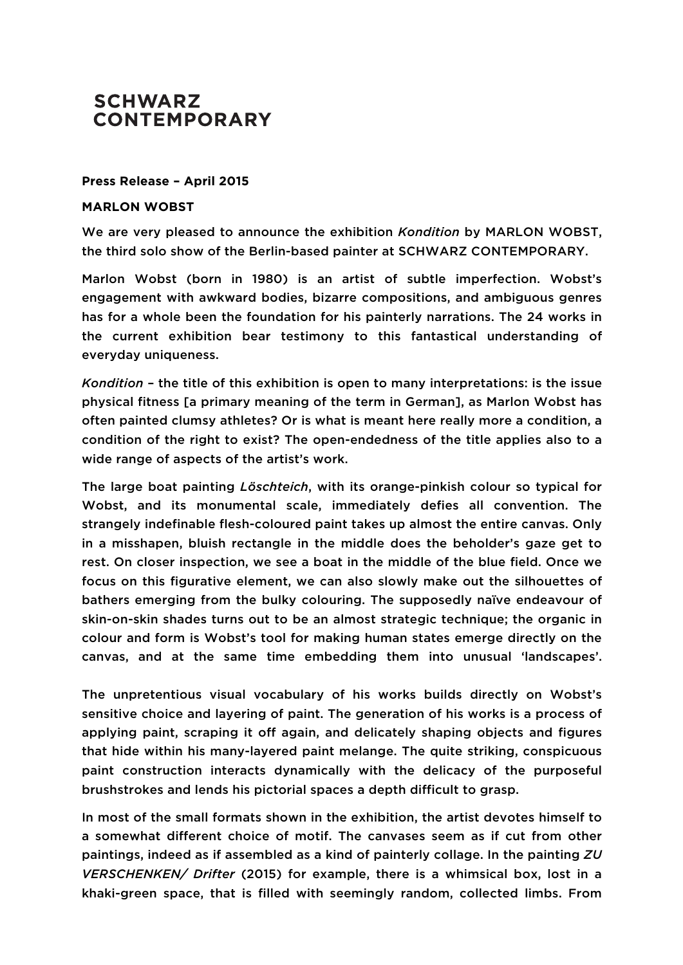## **SCHWARZ CONTEMPORARY**

## **Press Release – April 2015**

## **MARLON WOBST**

We are very pleased to announce the exhibition *Kondition* by MARLON WOBST, the third solo show of the Berlin-based painter at SCHWARZ CONTEMPORARY.

Marlon Wobst (born in 1980) is an artist of subtle imperfection. Wobst's engagement with awkward bodies, bizarre compositions, and ambiguous genres has for a whole been the foundation for his painterly narrations. The 24 works in the current exhibition bear testimony to this fantastical understanding of everyday uniqueness.

*Kondition* – the title of this exhibition is open to many interpretations: is the issue physical fitness [a primary meaning of the term in German], as Marlon Wobst has often painted clumsy athletes? Or is what is meant here really more a condition, a condition of the right to exist? The open-endedness of the title applies also to a wide range of aspects of the artist's work.

The large boat painting *Löschteich*, with its orange-pinkish colour so typical for Wobst, and its monumental scale, immediately defies all convention. The strangely indefinable flesh-coloured paint takes up almost the entire canvas. Only in a misshapen, bluish rectangle in the middle does the beholder's gaze get to rest. On closer inspection, we see a boat in the middle of the blue field. Once we focus on this figurative element, we can also slowly make out the silhouettes of bathers emerging from the bulky colouring. The supposedly naïve endeavour of skin-on-skin shades turns out to be an almost strategic technique; the organic in colour and form is Wobst's tool for making human states emerge directly on the canvas, and at the same time embedding them into unusual 'landscapes'.

The unpretentious visual vocabulary of his works builds directly on Wobst's sensitive choice and layering of paint. The generation of his works is a process of applying paint, scraping it off again, and delicately shaping objects and figures that hide within his many-layered paint melange. The quite striking, conspicuous paint construction interacts dynamically with the delicacy of the purposeful brushstrokes and lends his pictorial spaces a depth difficult to grasp.

In most of the small formats shown in the exhibition, the artist devotes himself to a somewhat different choice of motif. The canvases seem as if cut from other paintings, indeed as if assembled as a kind of painterly collage. In the painting *ZU VERSCHENKEN/ Drifter* (2015) for example, there is a whimsical box, lost in a khaki-green space, that is filled with seemingly random, collected limbs. From